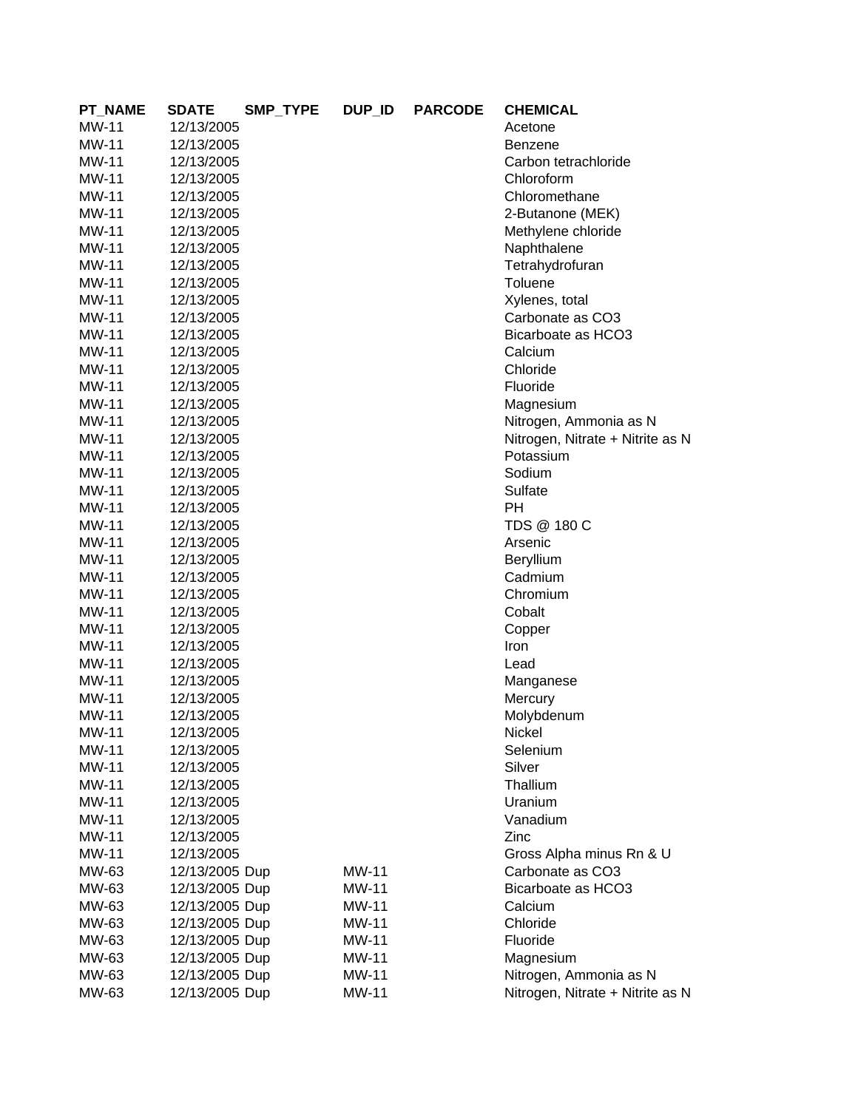| <b>PT_NAME</b> | <b>SDATE</b>   | SMP_TYPE | DUP_ID       | <b>PARCODE</b> | <b>CHEMICAL</b>                  |
|----------------|----------------|----------|--------------|----------------|----------------------------------|
| <b>MW-11</b>   | 12/13/2005     |          |              |                | Acetone                          |
| <b>MW-11</b>   | 12/13/2005     |          |              |                | Benzene                          |
| <b>MW-11</b>   | 12/13/2005     |          |              |                | Carbon tetrachloride             |
| MW-11          | 12/13/2005     |          |              |                | Chloroform                       |
| MW-11          | 12/13/2005     |          |              |                | Chloromethane                    |
| MW-11          | 12/13/2005     |          |              |                | 2-Butanone (MEK)                 |
| MW-11          | 12/13/2005     |          |              |                | Methylene chloride               |
| MW-11          | 12/13/2005     |          |              |                | Naphthalene                      |
| MW-11          | 12/13/2005     |          |              |                | Tetrahydrofuran                  |
| MW-11          | 12/13/2005     |          |              |                | Toluene                          |
| <b>MW-11</b>   | 12/13/2005     |          |              |                | Xylenes, total                   |
| MW-11          | 12/13/2005     |          |              |                | Carbonate as CO3                 |
| MW-11          | 12/13/2005     |          |              |                | Bicarboate as HCO3               |
| <b>MW-11</b>   | 12/13/2005     |          |              |                | Calcium                          |
| <b>MW-11</b>   | 12/13/2005     |          |              |                | Chloride                         |
| <b>MW-11</b>   | 12/13/2005     |          |              |                | Fluoride                         |
| <b>MW-11</b>   | 12/13/2005     |          |              |                | Magnesium                        |
| MW-11          | 12/13/2005     |          |              |                | Nitrogen, Ammonia as N           |
| <b>MW-11</b>   | 12/13/2005     |          |              |                | Nitrogen, Nitrate + Nitrite as N |
| <b>MW-11</b>   | 12/13/2005     |          |              |                | Potassium                        |
| MW-11          | 12/13/2005     |          |              |                | Sodium                           |
| MW-11          | 12/13/2005     |          |              |                | Sulfate                          |
| MW-11          | 12/13/2005     |          |              |                | PH                               |
| MW-11          | 12/13/2005     |          |              |                | TDS @ 180 C                      |
| MW-11          | 12/13/2005     |          |              |                | Arsenic                          |
| MW-11          | 12/13/2005     |          |              |                | <b>Beryllium</b>                 |
| MW-11          | 12/13/2005     |          |              |                | Cadmium                          |
| <b>MW-11</b>   | 12/13/2005     |          |              |                | Chromium                         |
| <b>MW-11</b>   | 12/13/2005     |          |              |                | Cobalt                           |
| <b>MW-11</b>   | 12/13/2005     |          |              |                | Copper                           |
| <b>MW-11</b>   | 12/13/2005     |          |              |                | Iron                             |
| <b>MW-11</b>   | 12/13/2005     |          |              |                | Lead                             |
| <b>MW-11</b>   | 12/13/2005     |          |              |                | Manganese                        |
| MW-11          | 12/13/2005     |          |              |                | Mercury                          |
| MW-11          | 12/13/2005     |          |              |                | Molybdenum                       |
| MW-11          | 12/13/2005     |          |              |                | Nickel                           |
| <b>MW-11</b>   | 12/13/2005     |          |              |                | Selenium                         |
| <b>MW-11</b>   | 12/13/2005     |          |              |                | Silver                           |
| MW-11          | 12/13/2005     |          |              |                | Thallium                         |
| MW-11          | 12/13/2005     |          |              |                | Uranium                          |
| MW-11          | 12/13/2005     |          |              |                | Vanadium                         |
| MW-11          | 12/13/2005     |          |              |                | Zinc                             |
| MW-11          | 12/13/2005     |          |              |                | Gross Alpha minus Rn & U         |
| MW-63          | 12/13/2005 Dup |          | <b>MW-11</b> |                | Carbonate as CO3                 |
| MW-63          | 12/13/2005 Dup |          | <b>MW-11</b> |                | Bicarboate as HCO3               |
| MW-63          | 12/13/2005 Dup |          | <b>MW-11</b> |                | Calcium                          |
| MW-63          | 12/13/2005 Dup |          | <b>MW-11</b> |                | Chloride                         |
| MW-63          | 12/13/2005 Dup |          | <b>MW-11</b> |                | Fluoride                         |
| MW-63          | 12/13/2005 Dup |          | <b>MW-11</b> |                | Magnesium                        |
| MW-63          | 12/13/2005 Dup |          | <b>MW-11</b> |                | Nitrogen, Ammonia as N           |
| MW-63          | 12/13/2005 Dup |          | <b>MW-11</b> |                | Nitrogen, Nitrate + Nitrite as N |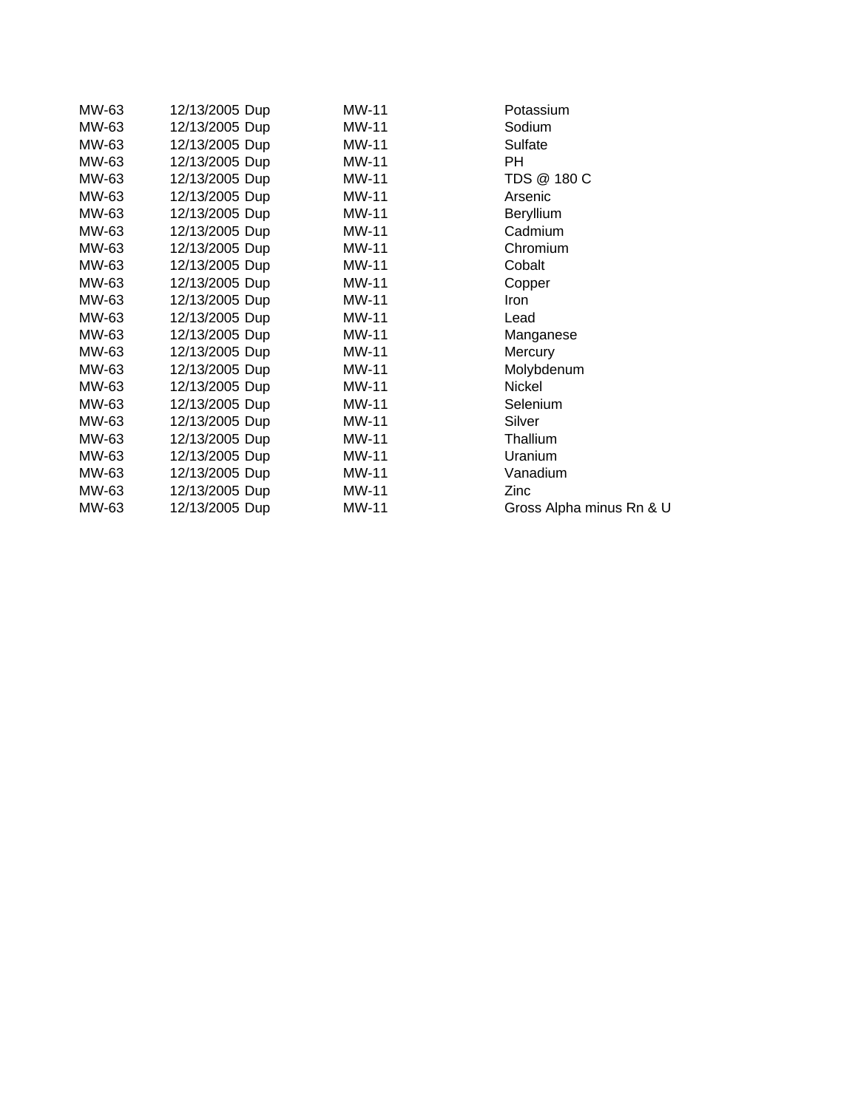| MW-63 | 12/13/2005 Dup | <b>MW-11</b> | Potassium                |
|-------|----------------|--------------|--------------------------|
| MW-63 | 12/13/2005 Dup | MW-11        | Sodium                   |
| MW-63 | 12/13/2005 Dup | MW-11        | Sulfate                  |
| MW-63 | 12/13/2005 Dup | MW-11        | PH.                      |
| MW-63 | 12/13/2005 Dup | MW-11        | TDS @ 180 C              |
| MW-63 | 12/13/2005 Dup | MW-11        | Arsenic                  |
| MW-63 | 12/13/2005 Dup | MW-11        | <b>Beryllium</b>         |
| MW-63 | 12/13/2005 Dup | <b>MW-11</b> | Cadmium                  |
| MW-63 | 12/13/2005 Dup | <b>MW-11</b> | Chromium                 |
| MW-63 | 12/13/2005 Dup | MW-11        | Cobalt                   |
| MW-63 | 12/13/2005 Dup | <b>MW-11</b> | Copper                   |
| MW-63 | 12/13/2005 Dup | <b>MW-11</b> | <b>Iron</b>              |
| MW-63 | 12/13/2005 Dup | <b>MW-11</b> | Lead                     |
| MW-63 | 12/13/2005 Dup | MW-11        | Manganese                |
| MW-63 | 12/13/2005 Dup | MW-11        | Mercury                  |
| MW-63 | 12/13/2005 Dup | MW-11        | Molybdenum               |
| MW-63 | 12/13/2005 Dup | MW-11        | Nickel                   |
| MW-63 | 12/13/2005 Dup | MW-11        | <b>Selenium</b>          |
| MW-63 | 12/13/2005 Dup | MW-11        | Silver                   |
| MW-63 | 12/13/2005 Dup | MW-11        | Thallium                 |
| MW-63 | 12/13/2005 Dup | MW-11        | Uranium                  |
| MW-63 | 12/13/2005 Dup | MW-11        | Vanadium                 |
| MW-63 | 12/13/2005 Dup | MW-11        | Zinc                     |
| MW-63 | 12/13/2005 Dup | MW-11        | Gross Alpha minus Rn & U |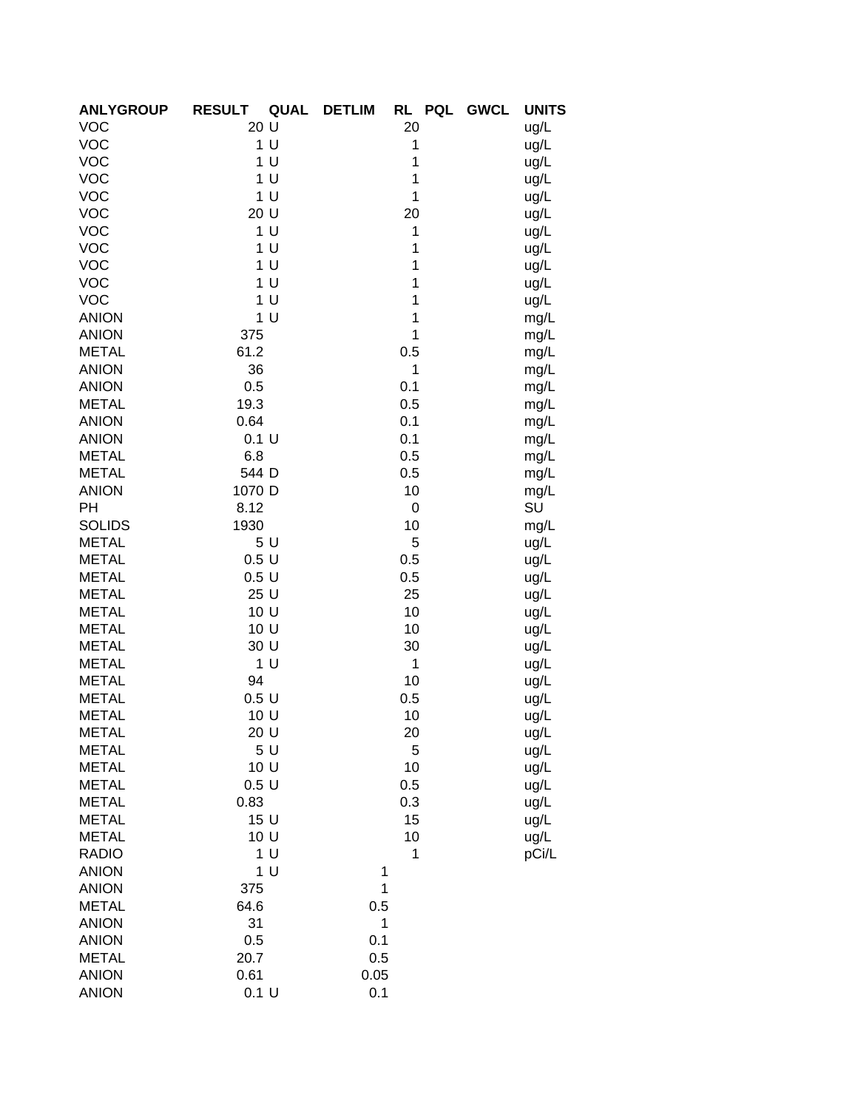| <b>ANLYGROUP</b> | <b>RESULT</b><br><b>QUAL</b> | RL PQL<br><b>DETLIM</b><br><b>GWCL</b> | <b>UNITS</b> |
|------------------|------------------------------|----------------------------------------|--------------|
| <b>VOC</b>       | 20 U                         | 20                                     | ug/L         |
| <b>VOC</b>       | 1 <sup>U</sup>               | 1                                      | ug/L         |
| <b>VOC</b>       | 1 <sub>U</sub>               | 1                                      | ug/L         |
| <b>VOC</b>       | 1 <sub>U</sub>               | 1                                      | ug/L         |
| <b>VOC</b>       | 1 <sup>U</sup>               | 1                                      | ug/L         |
| <b>VOC</b>       | 20 U                         | 20                                     | ug/L         |
| <b>VOC</b>       | 1 <sup>U</sup>               | 1                                      | ug/L         |
| <b>VOC</b>       | 1 <sup>U</sup>               | 1                                      | ug/L         |
| <b>VOC</b>       | 1 <sub>U</sub>               | 1                                      | ug/L         |
| <b>VOC</b>       | 1 <sub>U</sub>               | 1                                      | ug/L         |
| <b>VOC</b>       | 1 <sub>U</sub>               | 1                                      | ug/L         |
| <b>ANION</b>     | 1 <sub>U</sub>               | 1                                      | mg/L         |
| <b>ANION</b>     | 375                          | 1                                      | mg/L         |
| <b>METAL</b>     | 61.2                         | 0.5                                    | mg/L         |
| <b>ANION</b>     | 36                           | 1                                      | mg/L         |
| <b>ANION</b>     | 0.5                          | 0.1                                    | mg/L         |
| <b>METAL</b>     | 19.3                         | 0.5                                    | mg/L         |
| <b>ANION</b>     | 0.64                         | 0.1                                    | mg/L         |
| <b>ANION</b>     | 0.1 U                        | 0.1                                    | mg/L         |
| <b>METAL</b>     | 6.8                          | 0.5                                    | mg/L         |
| <b>METAL</b>     | 544 D                        | 0.5                                    | mg/L         |
| <b>ANION</b>     | 1070 D                       | 10                                     | mg/L         |
| PH               | 8.12                         | 0                                      | SU           |
| <b>SOLIDS</b>    | 1930                         | 10                                     | mg/L         |
| <b>METAL</b>     | 5U                           | 5                                      | ug/L         |
| <b>METAL</b>     | 0.5U                         | 0.5                                    | ug/L         |
| <b>METAL</b>     | 0.5U                         | 0.5                                    | ug/L         |
| <b>METAL</b>     | 25 U                         | 25                                     | ug/L         |
| <b>METAL</b>     | 10 U                         | 10                                     | ug/L         |
| <b>METAL</b>     | 10 U                         | 10                                     | ug/L         |
| <b>METAL</b>     | 30 U                         | 30                                     | ug/L         |
| <b>METAL</b>     | 1 <sup>U</sup>               | 1                                      | ug/L         |
| <b>METAL</b>     | 94                           | 10                                     | ug/L         |
| <b>METAL</b>     | 0.5U                         | 0.5                                    | ug/L         |
| <b>METAL</b>     | 10 U                         | 10                                     | ug/L         |
| METAL            | 20 U                         | 20                                     | ug/L         |
| <b>METAL</b>     | 5 U                          | 5                                      | ug/L         |
| <b>METAL</b>     | 10 U                         | 10                                     | ug/L         |
| <b>METAL</b>     | 0.5U                         | 0.5                                    | ug/L         |
| <b>METAL</b>     | 0.83                         | 0.3                                    | ug/L         |
| <b>METAL</b>     | 15 U                         | 15                                     | ug/L         |
| <b>METAL</b>     | 10 U                         | 10                                     | ug/L         |
| <b>RADIO</b>     | 1 U                          | 1                                      | pCi/L        |
| <b>ANION</b>     | 1 <sub>U</sub>               | 1                                      |              |
| <b>ANION</b>     | 375                          | 1                                      |              |
| <b>METAL</b>     | 64.6                         | 0.5                                    |              |
| <b>ANION</b>     | 31                           | 1                                      |              |
| <b>ANION</b>     | 0.5                          | 0.1                                    |              |
| <b>METAL</b>     | 20.7                         | 0.5                                    |              |
| <b>ANION</b>     | 0.61                         | 0.05                                   |              |
| <b>ANION</b>     | 0.1 U                        | 0.1                                    |              |